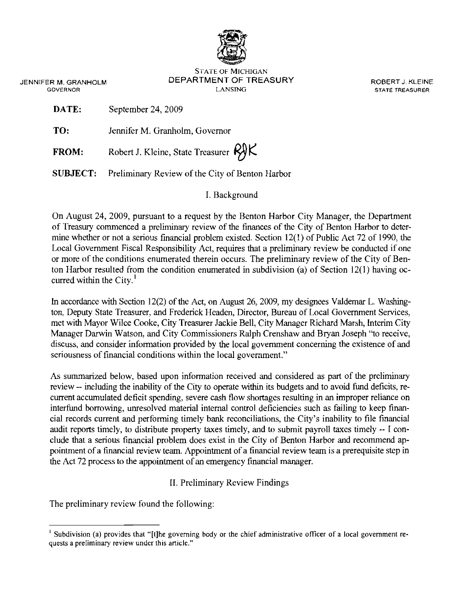

STATE OF MICHIGAN JENNIFER M. GRANHOLM DEPARTMENT OF TREASURY ROBERT J. KLEINE **GOVERNOR STATE TREASURER COVERNOR STATE TREASURER** 

**DATE:** September 24, 2009

**TO:** Jennifer M. Granholm, Governor

**FROM:** Robert J. Kleine, State Treasurer  $R$ 

**SUBJECT:** Preliminary Review of the City of Benton Harbor

## I. Background

On August 24, 2009, pursuant to a request by the Benton Harbor City Manager, the Department of Treasury commenced a preliminary review of the fmances of the City of Benton Harbor to determine whether or not a serious financial problem existed. Section 12(1) of Public Act 72 of 1990, the Local Govemment Fiscal Responsibility Act, requires that a preliminary review be conducted if one or more of the conditions enumerated therein occurs. The preliminary review of the City of Benton Harbor resulted from the condition enumerated in subdivision (a) of Section 12(1) having occurred within the City.<sup>1</sup>

In accordance with Section 12(2) of the Act, on August 26, 2009, my designees Valdemar L. Washington, Deputy State Treasurer, and Frederick Headen, Director, Bureau of Local Government Services, met with Mayor Wilce Cooke, City Treasurer Jackie Bell, City Manager Richard Marsh, Interim City Manager Darwin Watson, and City Commissioners Ralph Crenshaw and Bryan Joseph "to receive, discuss, and consider information provided by the local govemment concerning the existence of and seriousness of financial conditions within the local government."

As summarized below, based upon information received and considered as part of the preliminary review -- including the inability of the City to operate within its budgets and to avoid fund deficits, recurrent accumulated deficit spending, severe cash flow shortages resulting in an improper reliance on interfund borrowing, unresolved material internal control deficiencies such as failing to keep financial records current and performing timely bank reconciliations, the City's inability to file financial audit reports timely, to distribute property taxes timely, and to submit payroll taxes timely -- I conclude that a serious financial problem does exist in the City of Benton Harbor and recommend appointment of a financial review team. Appointment of a financial review team is a prerequisite step in the Act 72 process to the appointment of an emergency financial manager.

II. Preliminary Review Findings

The preliminary review found the following:

<sup>&</sup>lt;sup>I</sup> Subdivision (a) provides that "[t]he governing body or the chief administrative officer of a local government re**quests a preliminary review under this article."**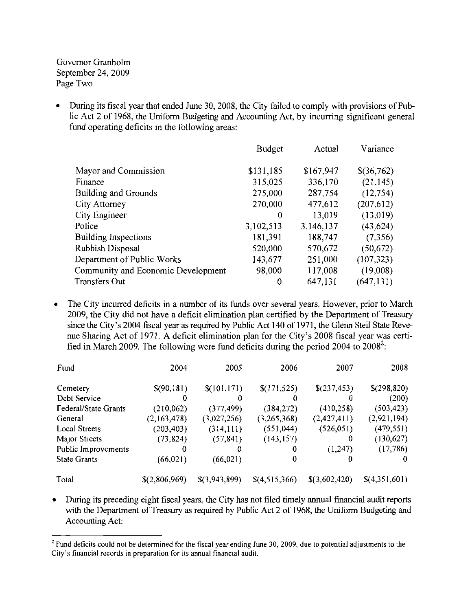Governor Granholm September 24, 2009 Page Two

During its fiscal year that ended June 30, 2008, the City failed to comply with provisions of Public Act 2 of 1968, the Uniform Budgeting and Accounting Act, by incurring significant general fund operating deficits in the following areas:

|                                    | <b>Budget</b> | Actual    | Variance   |
|------------------------------------|---------------|-----------|------------|
| Mayor and Commission               | \$131,185     | \$167,947 | \$(36,762) |
| Finance                            | 315,025       | 336,170   | (21, 145)  |
| <b>Building and Grounds</b>        | 275,000       | 287,754   | (12,754)   |
| <b>City Attorney</b>               | 270,000       | 477,612   | (207, 612) |
| <b>City Engineer</b>               | 0             | 13,019    | (13,019)   |
| Police                             | 3,102,513     | 3,146,137 | (43, 624)  |
| Building Inspections               | 181,391       | 188,747   | (7,356)    |
| Rubbish Disposal                   | 520,000       | 570,672   | (50, 672)  |
| Department of Public Works         | 143,677       | 251,000   | (107, 323) |
| Community and Economic Development | 98,000        | 117,008   | (19,008)   |
| <b>Transfers Out</b>               | 0             | 647,131   | (647, 131) |

• The City incurred deficits in a number of its funds over several years. However, prior to March 2009, the City did not have a deficit elimination plan certified by the Department of Treasury since the City's 2004 fiscal year as required by Public Act 140 of 1971, the Glenn Steil State Revenue Sharing Act of 1971. A deficit elimination plan for the City's 2008 fiscal year was certified in March 2009. The following were fund deficits during the period 2004 to 2008<sup>2</sup>:

| Fund                 | 2004          | 2005          | 2006          | 2007          | 2008              |
|----------------------|---------------|---------------|---------------|---------------|-------------------|
| Cemetery             | \$(90,181)    | \$(101, 171)  | \$(171, 525)  | \$(237,453)   | \$(298,820)       |
| Debt Service         | o             |               | 0             | 0             | (200)             |
| Federal/State Grants | (210,062)     | (377, 499)    | (384, 272)    | (410, 258)    | (503, 423)        |
| General              | (2,163,478)   | (3,027,256)   | (3,265,368)   | (2,427,411)   | (2,921,194)       |
| Local Streets        | (203, 403)    | (314, 111)    | (551, 044)    | (526, 051)    | (479, 551)        |
| Major Streets        | (73, 824)     | (57, 841)     | (143, 157)    | 0             | (130, 627)        |
| Public Improvements  | 0             | 0             | 0             | (1,247)       | (17,786)          |
| <b>State Grants</b>  | (66, 021)     | (66, 021)     | 0             | 0             |                   |
| Total                | \$(2,806,969) | \$(3,943,899) | \$(4,515,366) | \$(3,602,420) | $\{(4,351,601)\}$ |

• During its preceding eight fiscal years, the City has not filed timely annual financial audit reports with the Department of Treasury as required by Public Act 2 of 1968, the Uniform Budgeting and Accounting Act:

 $2$  Fund deficits could not be determined for the fiscal year ending June 30, 2009, due to potential adjustments to the **City's financial records in preparation for its annual financial audit.**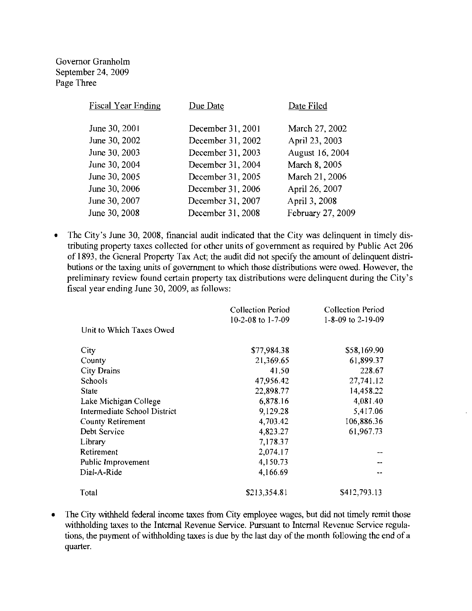Governor Granholm September 24, 2009 Page Three

| Due Date          | Date Filed        |
|-------------------|-------------------|
| December 31, 2001 | March 27, 2002    |
| December 31, 2002 | April 23, 2003    |
| December 31, 2003 | August 16, 2004   |
| December 31, 2004 | March 8, 2005     |
| December 31, 2005 | March 21, 2006    |
| December 31, 2006 | April 26, 2007    |
| December 31, 2007 | April 3, 2008     |
| December 31, 2008 | February 27, 2009 |
|                   |                   |

• The City's June 30, 2008, financial audit indicated that the City was delinquent in timely distributing property taxes collected for other units of government as required by Public Act 206 of 1893, the General Property Tax Act; the audit did not specify the amount of delinquent distributions or the taxing units of government to which those distributions were owed. However, the preliminary review found certain property tax distributions were delinquent during the City's fiscal year ending June 30, 2009, as follows:

|                              | <b>Collection Period</b> | <b>Collection Period</b> |
|------------------------------|--------------------------|--------------------------|
|                              | 10-2-08 to 1-7-09        | 1-8-09 to 2-19-09        |
| Unit to Which Taxes Owed     |                          |                          |
| City                         | \$77,984.38              | \$58,169.90              |
| County                       | 21,369.65                | 61,899.37                |
| <b>City Drains</b>           | 41.50                    | 228.67                   |
| <b>Schools</b>               | 47,956.42                | 27,741.12                |
| <b>State</b>                 | 22,898.77                | 14,458.22                |
| Lake Michigan College        | 6,878.16                 | 4,081.40                 |
| Intermediate School District | 9,129.28                 | 5,417.06                 |
| <b>County Retirement</b>     | 4,703.42                 | 106,886.36               |
| Debt Service                 | 4,823.27                 | 61,967.73                |
| Library                      | 7,178.37                 |                          |
| Retirement                   | 2,074.17                 |                          |
| Public Improvement           | 4,150.73                 |                          |
| Dial-A-Ride                  | 4,166.69                 |                          |
| Total                        | \$213,354.81             | \$412,793.13             |

• The City withheld federal income taxes from City employee wages, but did not timely remit those withholding taxes to the Internal Revenue Service. Pursuant to Internal Revenue Service regulations, the payment of withholding taxes is due by the last day of the month following the end of a quarter.